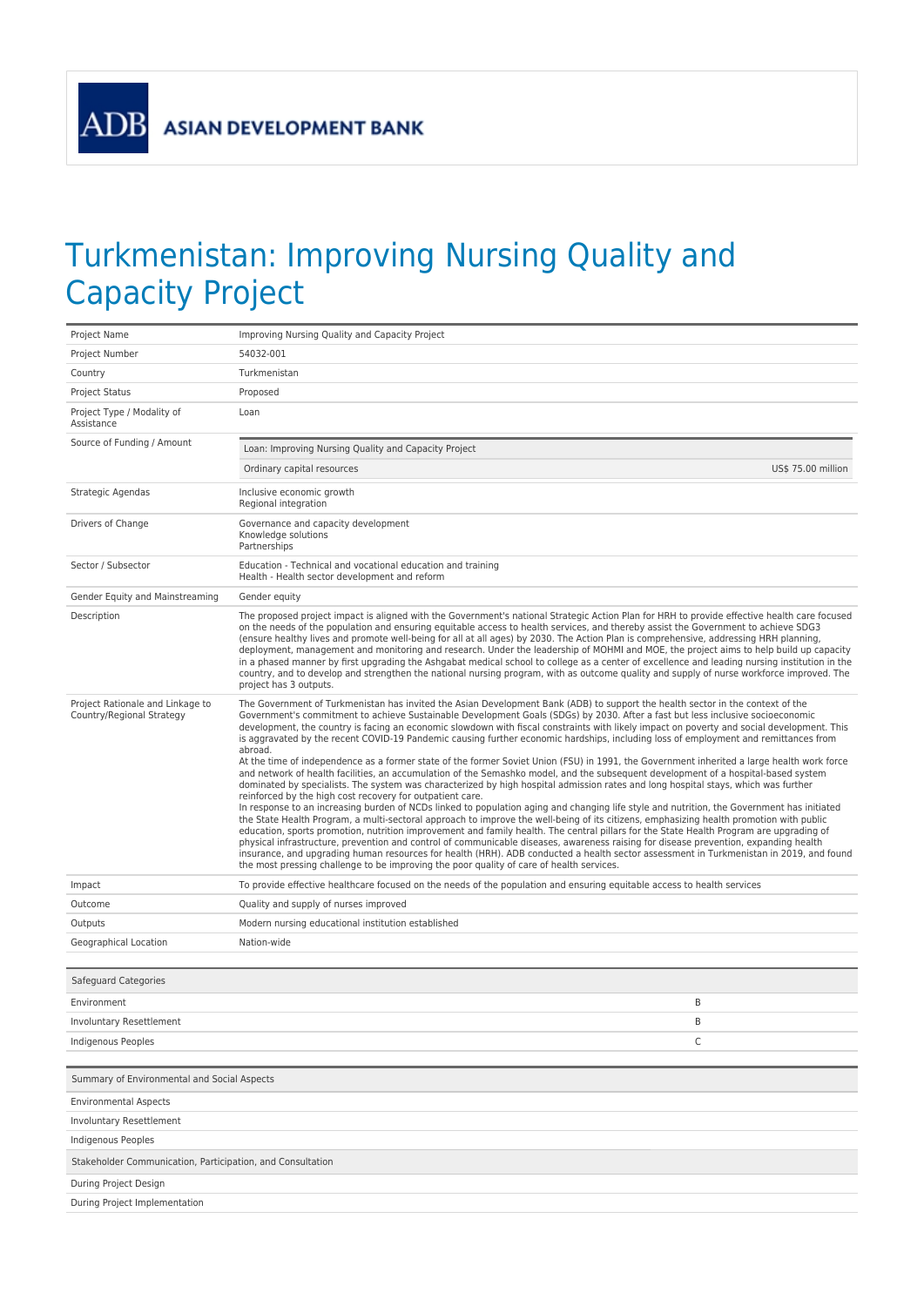**ADB** 

## Turkmenistan: Improving Nursing Quality and Capacity Project

| Project Name                                                  | Improving Nursing Quality and Capacity Project                                                                                                                                                                                                                                                                                                                                                                                                                                                                                                                                                                                                                                                                                                                                                                                                                                                                                                                                                                                                                                                                                                                                                                                                                                                                                                                                                                                                                                                                                                                                                                                                                                                                                                                                                                                                                            |  |
|---------------------------------------------------------------|---------------------------------------------------------------------------------------------------------------------------------------------------------------------------------------------------------------------------------------------------------------------------------------------------------------------------------------------------------------------------------------------------------------------------------------------------------------------------------------------------------------------------------------------------------------------------------------------------------------------------------------------------------------------------------------------------------------------------------------------------------------------------------------------------------------------------------------------------------------------------------------------------------------------------------------------------------------------------------------------------------------------------------------------------------------------------------------------------------------------------------------------------------------------------------------------------------------------------------------------------------------------------------------------------------------------------------------------------------------------------------------------------------------------------------------------------------------------------------------------------------------------------------------------------------------------------------------------------------------------------------------------------------------------------------------------------------------------------------------------------------------------------------------------------------------------------------------------------------------------------|--|
| Project Number                                                | 54032-001                                                                                                                                                                                                                                                                                                                                                                                                                                                                                                                                                                                                                                                                                                                                                                                                                                                                                                                                                                                                                                                                                                                                                                                                                                                                                                                                                                                                                                                                                                                                                                                                                                                                                                                                                                                                                                                                 |  |
| Country                                                       | Turkmenistan                                                                                                                                                                                                                                                                                                                                                                                                                                                                                                                                                                                                                                                                                                                                                                                                                                                                                                                                                                                                                                                                                                                                                                                                                                                                                                                                                                                                                                                                                                                                                                                                                                                                                                                                                                                                                                                              |  |
| <b>Project Status</b>                                         | Proposed                                                                                                                                                                                                                                                                                                                                                                                                                                                                                                                                                                                                                                                                                                                                                                                                                                                                                                                                                                                                                                                                                                                                                                                                                                                                                                                                                                                                                                                                                                                                                                                                                                                                                                                                                                                                                                                                  |  |
| Project Type / Modality of<br>Assistance                      | Loan                                                                                                                                                                                                                                                                                                                                                                                                                                                                                                                                                                                                                                                                                                                                                                                                                                                                                                                                                                                                                                                                                                                                                                                                                                                                                                                                                                                                                                                                                                                                                                                                                                                                                                                                                                                                                                                                      |  |
| Source of Funding / Amount                                    | Loan: Improving Nursing Quality and Capacity Project                                                                                                                                                                                                                                                                                                                                                                                                                                                                                                                                                                                                                                                                                                                                                                                                                                                                                                                                                                                                                                                                                                                                                                                                                                                                                                                                                                                                                                                                                                                                                                                                                                                                                                                                                                                                                      |  |
|                                                               | Ordinary capital resources<br>US\$ 75.00 million                                                                                                                                                                                                                                                                                                                                                                                                                                                                                                                                                                                                                                                                                                                                                                                                                                                                                                                                                                                                                                                                                                                                                                                                                                                                                                                                                                                                                                                                                                                                                                                                                                                                                                                                                                                                                          |  |
| Strategic Agendas                                             | Inclusive economic growth<br>Regional integration                                                                                                                                                                                                                                                                                                                                                                                                                                                                                                                                                                                                                                                                                                                                                                                                                                                                                                                                                                                                                                                                                                                                                                                                                                                                                                                                                                                                                                                                                                                                                                                                                                                                                                                                                                                                                         |  |
| Drivers of Change                                             | Governance and capacity development<br>Knowledge solutions<br>Partnerships                                                                                                                                                                                                                                                                                                                                                                                                                                                                                                                                                                                                                                                                                                                                                                                                                                                                                                                                                                                                                                                                                                                                                                                                                                                                                                                                                                                                                                                                                                                                                                                                                                                                                                                                                                                                |  |
| Sector / Subsector                                            | Education - Technical and vocational education and training<br>Health - Health sector development and reform                                                                                                                                                                                                                                                                                                                                                                                                                                                                                                                                                                                                                                                                                                                                                                                                                                                                                                                                                                                                                                                                                                                                                                                                                                                                                                                                                                                                                                                                                                                                                                                                                                                                                                                                                              |  |
| Gender Equity and Mainstreaming                               | Gender equity                                                                                                                                                                                                                                                                                                                                                                                                                                                                                                                                                                                                                                                                                                                                                                                                                                                                                                                                                                                                                                                                                                                                                                                                                                                                                                                                                                                                                                                                                                                                                                                                                                                                                                                                                                                                                                                             |  |
| Description                                                   | The proposed project impact is aligned with the Government's national Strategic Action Plan for HRH to provide effective health care focused<br>on the needs of the population and ensuring equitable access to health services, and thereby assist the Government to achieve SDG3<br>(ensure healthy lives and promote well-being for all at all ages) by 2030. The Action Plan is comprehensive, addressing HRH planning,<br>deployment, management and monitoring and research. Under the leadership of MOHMI and MOE, the project aims to help build up capacity<br>in a phased manner by first upgrading the Ashgabat medical school to college as a center of excellence and leading nursing institution in the<br>country, and to develop and strengthen the national nursing program, with as outcome quality and supply of nurse workforce improved. The<br>project has 3 outputs.                                                                                                                                                                                                                                                                                                                                                                                                                                                                                                                                                                                                                                                                                                                                                                                                                                                                                                                                                                               |  |
| Project Rationale and Linkage to<br>Country/Regional Strategy | The Government of Turkmenistan has invited the Asian Development Bank (ADB) to support the health sector in the context of the<br>Government's commitment to achieve Sustainable Development Goals (SDGs) by 2030. After a fast but less inclusive socioeconomic<br>development, the country is facing an economic slowdown with fiscal constraints with likely impact on poverty and social development. This<br>is aggravated by the recent COVID-19 Pandemic causing further economic hardships, including loss of employment and remittances from<br>abroad.<br>At the time of independence as a former state of the former Soviet Union (FSU) in 1991, the Government inherited a large health work force<br>and network of health facilities, an accumulation of the Semashko model, and the subsequent development of a hospital-based system<br>dominated by specialists. The system was characterized by high hospital admission rates and long hospital stays, which was further<br>reinforced by the high cost recovery for outpatient care.<br>In response to an increasing burden of NCDs linked to population aging and changing life style and nutrition, the Government has initiated<br>the State Health Program, a multi-sectoral approach to improve the well-being of its citizens, emphasizing health promotion with public<br>education, sports promotion, nutrition improvement and family health. The central pillars for the State Health Program are upgrading of<br>physical infrastructure, prevention and control of communicable diseases, awareness raising for disease prevention, expanding health<br>insurance, and upgrading human resources for health (HRH). ADB conducted a health sector assessment in Turkmenistan in 2019, and found<br>the most pressing challenge to be improving the poor quality of care of health services. |  |
| Impact                                                        | To provide effective healthcare focused on the needs of the population and ensuring equitable access to health services                                                                                                                                                                                                                                                                                                                                                                                                                                                                                                                                                                                                                                                                                                                                                                                                                                                                                                                                                                                                                                                                                                                                                                                                                                                                                                                                                                                                                                                                                                                                                                                                                                                                                                                                                   |  |
| Outcome                                                       | Quality and supply of nurses improved                                                                                                                                                                                                                                                                                                                                                                                                                                                                                                                                                                                                                                                                                                                                                                                                                                                                                                                                                                                                                                                                                                                                                                                                                                                                                                                                                                                                                                                                                                                                                                                                                                                                                                                                                                                                                                     |  |
| Outputs                                                       | Modern nursing educational institution established                                                                                                                                                                                                                                                                                                                                                                                                                                                                                                                                                                                                                                                                                                                                                                                                                                                                                                                                                                                                                                                                                                                                                                                                                                                                                                                                                                                                                                                                                                                                                                                                                                                                                                                                                                                                                        |  |
| Geographical Location                                         | Nation-wide                                                                                                                                                                                                                                                                                                                                                                                                                                                                                                                                                                                                                                                                                                                                                                                                                                                                                                                                                                                                                                                                                                                                                                                                                                                                                                                                                                                                                                                                                                                                                                                                                                                                                                                                                                                                                                                               |  |
| Safeguard Categories                                          |                                                                                                                                                                                                                                                                                                                                                                                                                                                                                                                                                                                                                                                                                                                                                                                                                                                                                                                                                                                                                                                                                                                                                                                                                                                                                                                                                                                                                                                                                                                                                                                                                                                                                                                                                                                                                                                                           |  |
| Environment                                                   | B                                                                                                                                                                                                                                                                                                                                                                                                                                                                                                                                                                                                                                                                                                                                                                                                                                                                                                                                                                                                                                                                                                                                                                                                                                                                                                                                                                                                                                                                                                                                                                                                                                                                                                                                                                                                                                                                         |  |
| Involuntary Resettlement                                      | B                                                                                                                                                                                                                                                                                                                                                                                                                                                                                                                                                                                                                                                                                                                                                                                                                                                                                                                                                                                                                                                                                                                                                                                                                                                                                                                                                                                                                                                                                                                                                                                                                                                                                                                                                                                                                                                                         |  |
| Indigenous Peoples                                            | C                                                                                                                                                                                                                                                                                                                                                                                                                                                                                                                                                                                                                                                                                                                                                                                                                                                                                                                                                                                                                                                                                                                                                                                                                                                                                                                                                                                                                                                                                                                                                                                                                                                                                                                                                                                                                                                                         |  |
| Summary of Environmental and Social Aspects                   |                                                                                                                                                                                                                                                                                                                                                                                                                                                                                                                                                                                                                                                                                                                                                                                                                                                                                                                                                                                                                                                                                                                                                                                                                                                                                                                                                                                                                                                                                                                                                                                                                                                                                                                                                                                                                                                                           |  |
| <b>Environmental Aspects</b>                                  |                                                                                                                                                                                                                                                                                                                                                                                                                                                                                                                                                                                                                                                                                                                                                                                                                                                                                                                                                                                                                                                                                                                                                                                                                                                                                                                                                                                                                                                                                                                                                                                                                                                                                                                                                                                                                                                                           |  |
| <b>Involuntary Resettlement</b>                               |                                                                                                                                                                                                                                                                                                                                                                                                                                                                                                                                                                                                                                                                                                                                                                                                                                                                                                                                                                                                                                                                                                                                                                                                                                                                                                                                                                                                                                                                                                                                                                                                                                                                                                                                                                                                                                                                           |  |
| Indigenous Peoples                                            |                                                                                                                                                                                                                                                                                                                                                                                                                                                                                                                                                                                                                                                                                                                                                                                                                                                                                                                                                                                                                                                                                                                                                                                                                                                                                                                                                                                                                                                                                                                                                                                                                                                                                                                                                                                                                                                                           |  |
| Stakeholder Communication, Participation, and Consultation    |                                                                                                                                                                                                                                                                                                                                                                                                                                                                                                                                                                                                                                                                                                                                                                                                                                                                                                                                                                                                                                                                                                                                                                                                                                                                                                                                                                                                                                                                                                                                                                                                                                                                                                                                                                                                                                                                           |  |
| During Project Design                                         |                                                                                                                                                                                                                                                                                                                                                                                                                                                                                                                                                                                                                                                                                                                                                                                                                                                                                                                                                                                                                                                                                                                                                                                                                                                                                                                                                                                                                                                                                                                                                                                                                                                                                                                                                                                                                                                                           |  |
| During Project Implementation                                 |                                                                                                                                                                                                                                                                                                                                                                                                                                                                                                                                                                                                                                                                                                                                                                                                                                                                                                                                                                                                                                                                                                                                                                                                                                                                                                                                                                                                                                                                                                                                                                                                                                                                                                                                                                                                                                                                           |  |